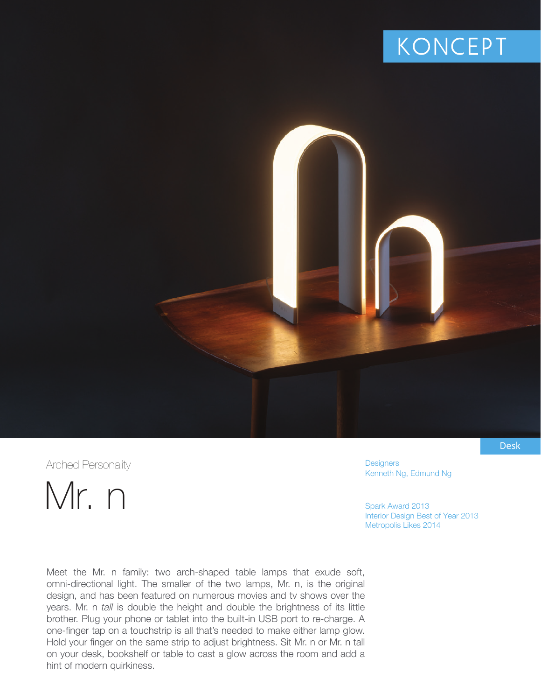## **KONCEPT**

Arched Personality

Mr. n

**Designers** Kenneth Ng, Edmund Ng

Spark Award 2013 Interior Design Best of Year 2013 Metropolis Likes 2014

Meet the Mr. n family: two arch-shaped table lamps that exude soft, omni-directional light. The smaller of the two lamps, Mr. n, is the original design, and has been featured on numerous movies and tv shows over the years. Mr. n *tall* is double the height and double the brightness of its little brother. Plug your phone or tablet into the built-in USB port to re-charge. A one-finger tap on a touchstrip is all that's needed to make either lamp glow. Hold your finger on the same strip to adjust brightness. Sit Mr. n or Mr. n tall on your desk, bookshelf or table to cast a glow across the room and add a hint of modern quirkiness.

Desk